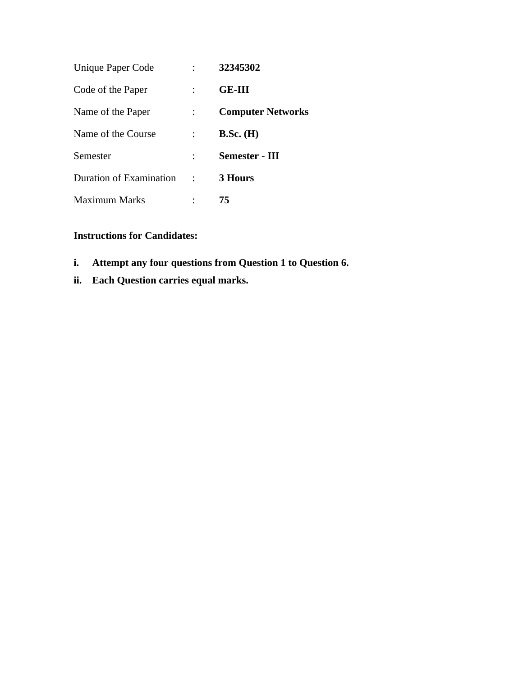| Unique Paper Code       | 32345302                 |
|-------------------------|--------------------------|
| Code of the Paper       | <b>GE-III</b>            |
| Name of the Paper       | <b>Computer Networks</b> |
| Name of the Course      | $B.Sc.$ (H)              |
| Semester                | Semester - III           |
| Duration of Examination | 3 Hours                  |
| <b>Maximum Marks</b>    | 75                       |

## **Instructions for Candidates:**

- **i. Attempt any four questions from Question 1 to Question 6.**
- **ii. Each Question carries equal marks.**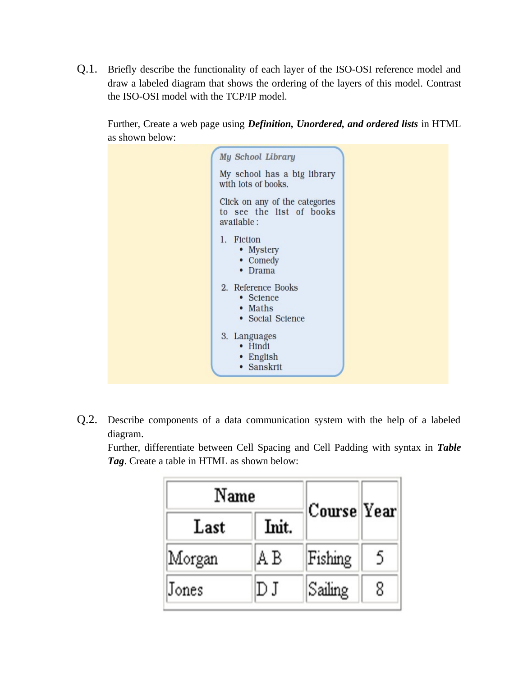Q.1. Briefly describe the functionality of each layer of the ISO-OSI reference model and draw a labeled diagram that shows the ordering of the layers of this model. Contrast the ISO-OSI model with the TCP/IP model.

Further, Create a web page using *Definition, Unordered, and ordered lists* in HTML as shown below:



Q.2. Describe components of a data communication system with the help of a labeled diagram.

Further, differentiate between Cell Spacing and Cell Padding with syntax in *Table Tag*. Create a table in HTML as shown below:

| Name   |       |             |   |
|--------|-------|-------------|---|
| Last   | Init. | Course Year |   |
| Morgan | AΒ    | Fishing     | 5 |
| Jones  | DJ    | Sailing     | 8 |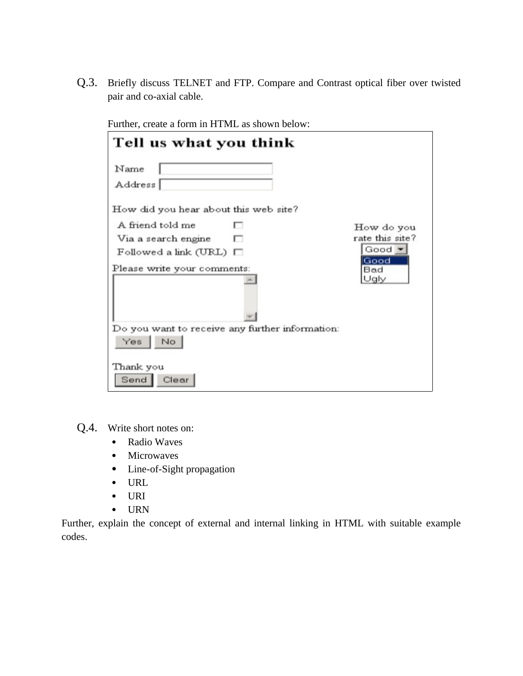Q.3. Briefly discuss TELNET and FTP. Compare and Contrast optical fiber over twisted pair and co-axial cable.

| Tell us what you think                          |                     |
|-------------------------------------------------|---------------------|
| Name<br>Address                                 |                     |
| How did you hear about this web site?           |                     |
| A friend told me                                | How do you          |
| Via a search engine                             | rate this site?     |
| $F$ ollowed a link (URL) $\Box$                 | Good ·              |
| Please write your comments:                     | Good<br>Bad<br>Jaly |
| Do you want to receive any further information: |                     |
| Yes.<br>No                                      |                     |
| Thank you<br>Send  <br>Clear                    |                     |

Further, create a form in HTML as shown below:

- Q.4. Write short notes on:
	- Radio Waves
	- Microwaves
	- Line-of-Sight propagation
	- URL
	- URI
	- URN

Further, explain the concept of external and internal linking in HTML with suitable example codes.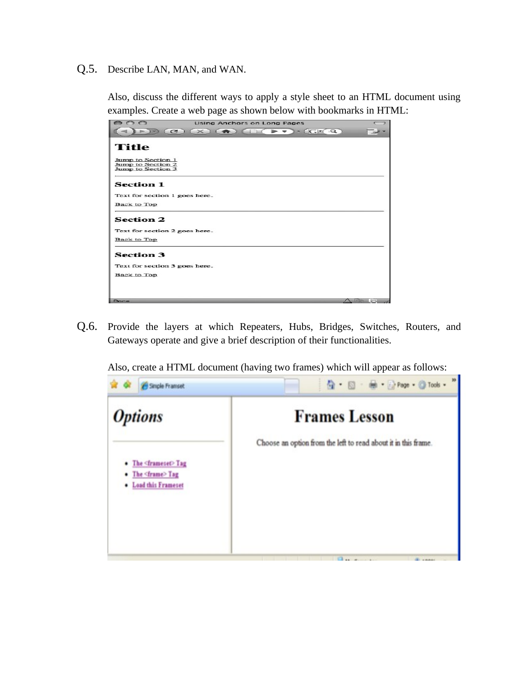## Q.5. Describe LAN, MAN, and WAN.

Also, discuss the different ways to apply a style sheet to an HTML document using examples. Create a web page as shown below with bookmarks in HTML:

| 000<br><b>Using Anchors on Long Pages</b>                                                                                                                                                                                                                                                                                                              |      |
|--------------------------------------------------------------------------------------------------------------------------------------------------------------------------------------------------------------------------------------------------------------------------------------------------------------------------------------------------------|------|
| $\blacktriangleright$ $\blacktriangleright$ $\lnot$ $\lnot$ $\lnot$ $\lnot$ $\lnot$ $\lnot$ $\lnot$ $\lnot$ $\lnot$ $\lnot$ $\lnot$ $\lnot$ $\lnot$ $\lnot$ $\lnot$ $\lnot$ $\lnot$ $\lnot$ $\lnot$ $\lnot$ $\lnot$ $\lnot$ $\lnot$ $\lnot$ $\lnot$ $\lnot$ $\lnot$ $\lnot$ $\lnot$ $\lnot$ $\lnot$ $\lnot$ $\lnot$ $\lnot$<br>e<br>$\times$<br>$\sim$ |      |
| Title                                                                                                                                                                                                                                                                                                                                                  |      |
| Jump to Section 1<br>Jump to Section 2<br>Jump to Section 3                                                                                                                                                                                                                                                                                            |      |
| <b>Section 1</b>                                                                                                                                                                                                                                                                                                                                       |      |
| Text for section 1 goes here.                                                                                                                                                                                                                                                                                                                          |      |
| <b>Back to Top</b>                                                                                                                                                                                                                                                                                                                                     |      |
| <b>Section 2</b>                                                                                                                                                                                                                                                                                                                                       |      |
| Text for section 2 goes here.                                                                                                                                                                                                                                                                                                                          |      |
| <b>Back to Top</b>                                                                                                                                                                                                                                                                                                                                     |      |
| <b>Section 3</b>                                                                                                                                                                                                                                                                                                                                       |      |
| Text for section 3 goes here.                                                                                                                                                                                                                                                                                                                          |      |
| Back to Top                                                                                                                                                                                                                                                                                                                                            |      |
|                                                                                                                                                                                                                                                                                                                                                        |      |
|                                                                                                                                                                                                                                                                                                                                                        |      |
| Done                                                                                                                                                                                                                                                                                                                                                   | .com |

Q.6. Provide the layers at which Repeaters, Hubs, Bridges, Switches, Routers, and Gateways operate and give a brief description of their functionalities.

Also, create a HTML document (having two frames) which will appear as follows:

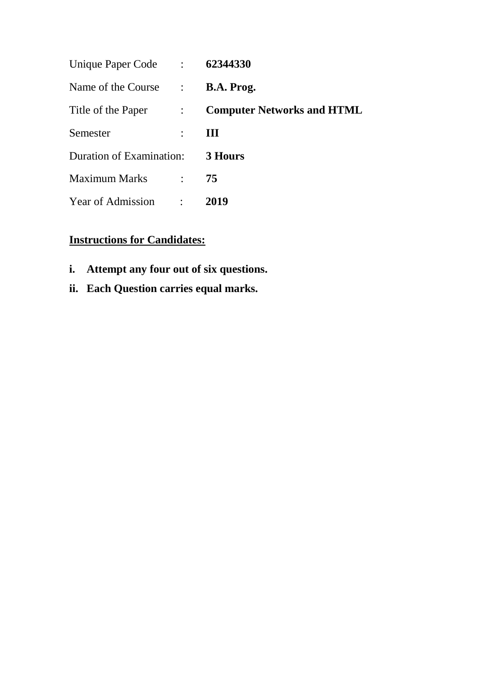| Unique Paper Code :      |                                         | 62344330                          |
|--------------------------|-----------------------------------------|-----------------------------------|
| Name of the Course       | $\mathbb{R}^n$                          | B.A. Prog.                        |
| Title of the Paper       | $\mathcal{L} = \mathcal{L} \mathcal{L}$ | <b>Computer Networks and HTML</b> |
| Semester                 | $\ddot{\cdot}$                          | Ш                                 |
| Duration of Examination: |                                         | 3 Hours                           |
| <b>Maximum Marks</b>     | $\mathbb{R}^{\mathbb{Z}}$               | 75                                |
| Year of Admission        |                                         | 2019                              |

## **Instructions for Candidates:**

- **i. Attempt any four out of six questions.**
- **ii. Each Question carries equal marks.**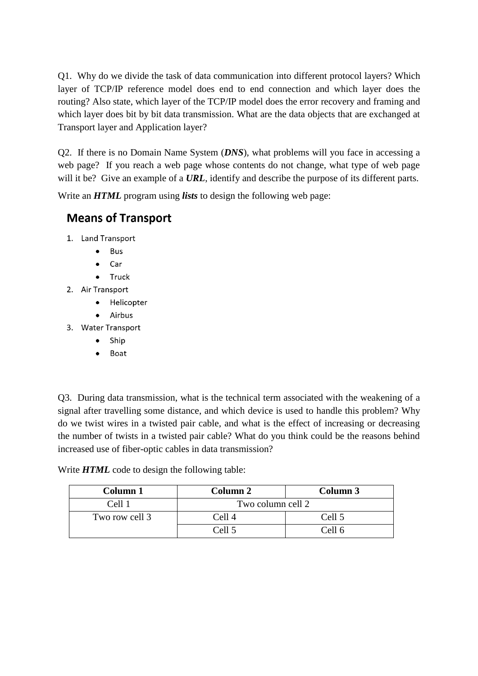Q1. Why do we divide the task of data communication into different protocol layers? Which layer of TCP/IP reference model does end to end connection and which layer does the routing? Also state, which layer of the TCP/IP model does the error recovery and framing and which layer does bit by bit data transmission. What are the data objects that are exchanged at Transport layer and Application layer?

Q2. If there is no Domain Name System (*DNS*), what problems will you face in accessing a web page? If you reach a web page whose contents do not change, what type of web page will it be? Give an example of a **URL**, identify and describe the purpose of its different parts.

Write an *HTML* program using *lists* to design the following web page:

## **Means of Transport**

- 1. Land Transport
	- **Bus**  $\bullet$
	- Car  $\bullet$
	- $\bullet$ Truck
- 2. Air Transport
	- · Helicopter
	- Airbus  $\bullet$
- 3. Water Transport
	- Ship  $\bullet$
	- Boat  $\bullet$

Q3. During data transmission, what is the technical term associated with the weakening of a signal after travelling some distance, and which device is used to handle this problem? Why do we twist wires in a twisted pair cable, and what is the effect of increasing or decreasing the number of twists in a twisted pair cable? What do you think could be the reasons behind increased use of fiber-optic cables in data transmission?

Write *HTML* code to design the following table:

| Column 1            | Column 2          | Column 3 |
|---------------------|-------------------|----------|
| C <sub>el</sub> 111 | Two column cell 2 |          |
| Two row cell 3      | Cell 4            | Cell 5   |
|                     | Cell 5            | Cell 6   |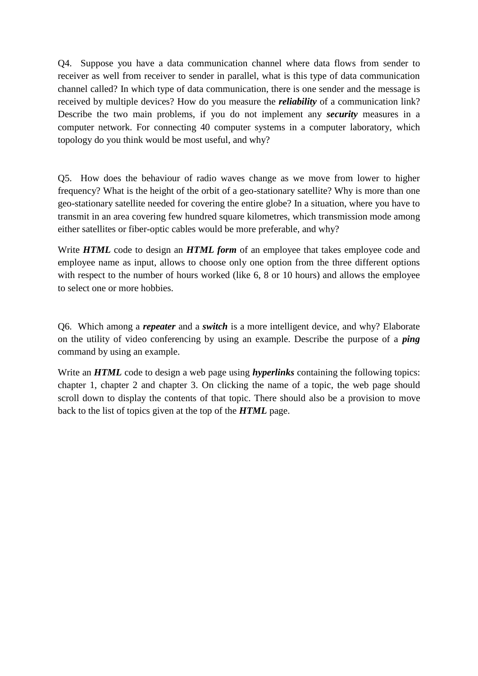Q4. Suppose you have a data communication channel where data flows from sender to receiver as well from receiver to sender in parallel, what is this type of data communication channel called? In which type of data communication, there is one sender and the message is received by multiple devices? How do you measure the *reliability* of a communication link? Describe the two main problems, if you do not implement any *security* measures in a computer network. For connecting 40 computer systems in a computer laboratory, which topology do you think would be most useful, and why?

Q5. How does the behaviour of radio waves change as we move from lower to higher frequency? What is the height of the orbit of a geo-stationary satellite? Why is more than one geo-stationary satellite needed for covering the entire globe? In a situation, where you have to transmit in an area covering few hundred square kilometres, which transmission mode among either satellites or fiber-optic cables would be more preferable, and why?

Write *HTML* code to design an *HTML form* of an employee that takes employee code and employee name as input, allows to choose only one option from the three different options with respect to the number of hours worked (like 6, 8 or 10 hours) and allows the employee to select one or more hobbies.

Q6. Which among a *repeater* and a *switch* is a more intelligent device, and why? Elaborate on the utility of video conferencing by using an example. Describe the purpose of a *ping*  command by using an example.

Write an *HTML* code to design a web page using *hyperlinks* containing the following topics: chapter 1, chapter 2 and chapter 3. On clicking the name of a topic, the web page should scroll down to display the contents of that topic. There should also be a provision to move back to the list of topics given at the top of the *HTML* page.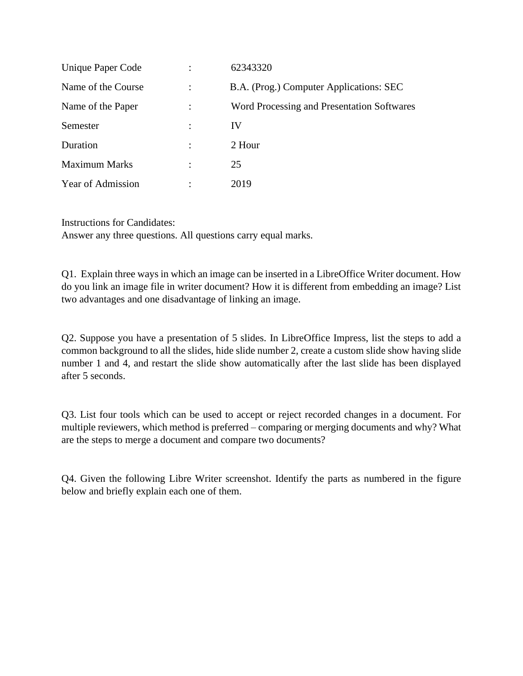| Unique Paper Code    | 62343320                                   |
|----------------------|--------------------------------------------|
| Name of the Course   | B.A. (Prog.) Computer Applications: SEC    |
| Name of the Paper    | Word Processing and Presentation Softwares |
| Semester             | IV                                         |
| Duration             | 2 Hour                                     |
| <b>Maximum Marks</b> | 25                                         |
| Year of Admission    | 2019                                       |

Instructions for Candidates:

Answer any three questions. All questions carry equal marks.

Q1. Explain three ways in which an image can be inserted in a LibreOffice Writer document. How do you link an image file in writer document? How it is different from embedding an image? List two advantages and one disadvantage of linking an image.

Q2. Suppose you have a presentation of 5 slides. In LibreOffice Impress, list the steps to add a common background to all the slides, hide slide number 2, create a custom slide show having slide number 1 and 4, and restart the slide show automatically after the last slide has been displayed after 5 seconds.

Q3. List four tools which can be used to accept or reject recorded changes in a document. For multiple reviewers, which method is preferred – comparing or merging documents and why? What are the steps to merge a document and compare two documents?

Q4. Given the following Libre Writer screenshot. Identify the parts as numbered in the figure below and briefly explain each one of them.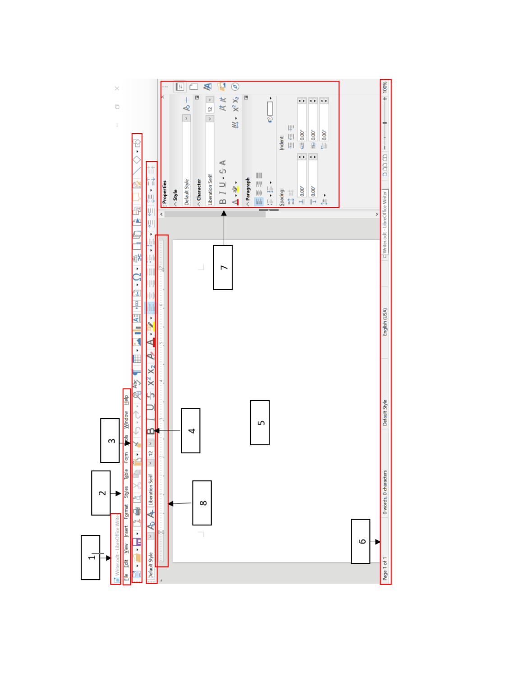